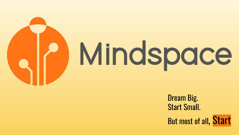

Dream Big. Start Small. But most of all, Start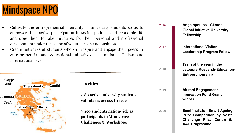

- Cultivate the entrepreneurial mentality in university students so as to empower their active participation in social, political and economic life and urge them to take initiatives for their personal and professional development under the scope of volunteerism and business.
- Create networks of students who will inspire and engage their peers in entrepreneurial and educational initiatives at a national, Balkan and international level.



 **8 cities**

**> 80 active university students volunteers across Greece**

**> 450 students nationwide as participants in Mindspace Challenges & Workshops**

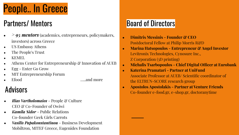# People.. In Greece

## Partners/ Mentors

- *> 95 mentors* (academics, entrepreneurs, policymakers, investors) across Greece
- US Embassy Athens
- The People's Trust
- KEMEL
- Athens Center for Entrepreneurship & Innovation of AUEB
- Egg Enter Go Grow
- MIT Entrepreneurship Forum
- - Efood …...and more

- **•** *Ilias Vartholomaios* People & Culture CEO & Co-Founder of Owiwi
- *Kamila Sidor* Public Relations Co-founder Geek Girls Carrots
- *Vasilis Papakonstantinou* Business Development Mobiltron, MITEF Greece, Eugenides Foundation

## **Board of Directors**

- **● Dimitris Messinis Founder & CEO**  Postdoctoral Fellow at Philip Morris R&D
- **● Marina Hatsopoulos Entrepreneur & Angel Investor** Levitronix Technologies, Cynosure Inc., Z Corporation (3D printing)
- **● Michalis Tsarbopoulos Chief Digital Officer at Eurobank**
- **● Katerina Pramatari Partner at UniFund** Associate Professor at AUEB/ Scientific coordinator of the ELTRUN-SCORE research group
- **Advisors Apostolos Apostolakis Partner at Venture Friends**<br>Co-founder e-food.gr, e-shop.gr, doctoranytime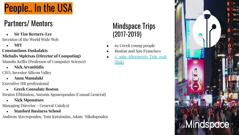

## Partners/ Mentors

- **● Sir Tim Berners-Lee**  Inventor of the World Wide Web
	- **● MIT**

#### **Constantinos Daskalakis**

#### **Michalis Mpletsas (Director of Computing)**

Manolis Kellis (Professor of Computer Science)

**● Nick Arvanitidis** 

CEO, Investor Silicon Valley

**● Anna Mamalaki** 

Executive HR professional

**● Greek Consulate Boston** 

Stratos Efthimiou, Antonis Sgouropoulos (Consul General)

**● Nick Mponatsos** 

Managing Director - General Catalyst

**● Stanford Business School**

Andreas Stavropoulos, Tom Katsioulas, Adam Nikolopoulos

#### Mindspace Trips (2017-2019)

- 62 Greek young people
- Boston and San Francisco
- [2' min Aftermovie Trip 2018](https://www.youtube.com/watch?v=kIK4MV-PSck) [\(link\)](https://www.youtube.com/watch?v=kIK4MV-PSck)